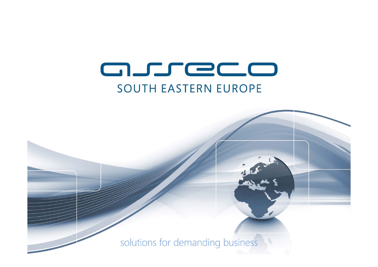# asreco **SOUTH EASTERN EUROPE**

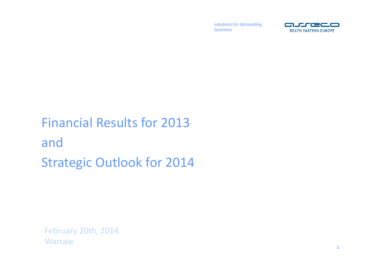

# Financial Results for 2013and Strategic Outlook for 2014

February 20th, 2014 **Warsaw**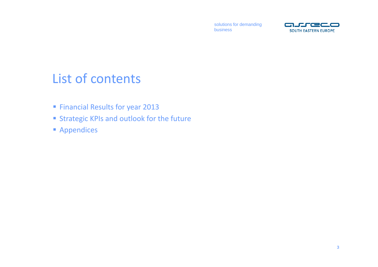

### List of contents

- **Financial Results for year 2013**
- **Strategic KPIs and outlook for the future**
- **Appendices**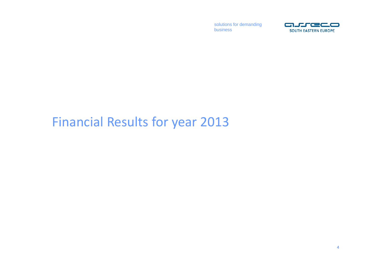

### Financial Results for year 2013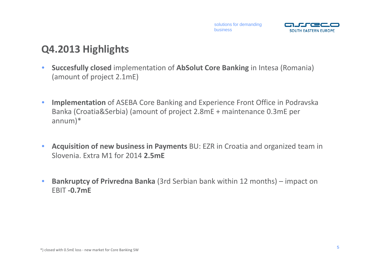

### **Q4.2013 Highlights**

- $\bullet$  **Succesfully closed** implementation of **AbSolut Core Banking** in Intesa (Romania) (amount of project 2.1mE)
- $\bullet$  **Implementation** of ASEBA Core Banking and Experience Front Office in Podravska Banka (Croatia&Serbia) (amount of project 2.8mE <sup>+</sup> maintenance 0.3mE per annum)\*
- $\bullet$  **Acquisition of new business in Payments** BU: EZR in Croatia and organized team in Slovenia. Extra M1 for 2014 **2.5mE**
- $\bullet$  **Bankruptcy of Privredna Banka** (3rd Serbian bank within 12 months) – impact on EBIT **‐0.7mE**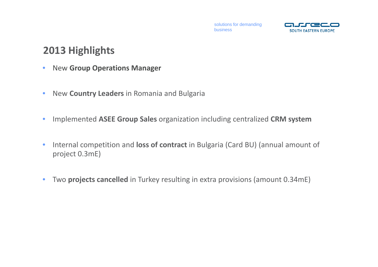

#### **2013 Highlights**

- $\bullet$ New **Group Operations Manager**
- $\bullet$ New **Country Leaders** in Romania and Bulgaria
- •Implemented **ASEE Group Sales** organization including centralized **CRM system**
- • Internal competition and **loss of contract** in Bulgaria (Card BU) (annual amount of project 0.3mE)
- $\bullet$ Two **projects cancelled** in Turkey resulting in extra provisions (amount 0.34mE)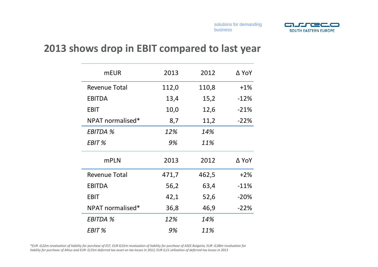

#### **2013 shows drop in EBIT compared to last year**

| <b>mEUR</b>          | 2013  | 2012  | ∆ YoY  |
|----------------------|-------|-------|--------|
| <b>Revenue Total</b> | 112,0 | 110,8 | $+1%$  |
| <b>EBITDA</b>        | 13,4  | 15,2  | $-12%$ |
| <b>EBIT</b>          | 10,0  | 12,6  | $-21%$ |
| NPAT normalised*     | 8,7   | 11,2  | $-22%$ |
| <b>EBITDA %</b>      | 12%   | 14%   |        |
| EBIT %               | 9%    | 11%   |        |
| <b>mPLN</b>          | 2013  | 2012  | ∆ YoY  |
| <b>Revenue Total</b> | 471,7 | 462,5 | $+2%$  |
| <b>EBITDA</b>        | 56,2  | 63,4  | $-11%$ |
| <b>EBIT</b>          | 42,1  | 52,6  | $-20%$ |
| NPAT normalised*     | 36,8  | 46,9  | $-22%$ |
| <b>EBITDA %</b>      | 12%   | 14%   |        |
| EBIT %               | 9%    | 11%   |        |

\*EUR -0,02m revaluation of liability for purchase of EST, EUR 0,01m revaluation of liability for purchase of ASEE Bulgaria, EUR -0,08m revaluation for liability for purchase of Altius and EUR -0,55m deferred tax asset on tax losses in 2012; EUR 0,21 utilization of deferred tax losses in 2013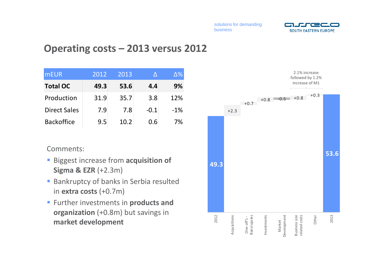

#### **Operating costs – 2013 versus 2012**

| <b>mEUR</b>         | 2012 | 2013 |        | $\Delta\%$ |
|---------------------|------|------|--------|------------|
| <b>Total OC</b>     | 49.3 | 53.6 | 4.4    | 9%         |
| Production          | 31.9 | 35.7 | 3.8    | 12%        |
| <b>Direct Sales</b> | 7.9  | 7.8  | $-0.1$ | $-1%$      |
| <b>Backoffice</b>   | 9.5  | 10.2 | 0.6    | 7%         |

Comments:

- **Biggest increase from acquisition of Sigma & EZR** (+2.3m)
- **Bankruptcy of banks in Serbia resulted** in **extra costs** (+0.7m)
- Further investments in **products and organization** (+0.8m) but savings in **market development**

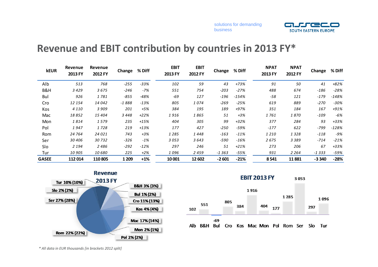

#### **Revenue and EBIT contribution by countries in 2013 FY\***

| <b>kEUR</b>  | Revenue<br>2013 FY | Revenue<br>2012 FY | Change  | % Diff | <b>EBIT</b><br>2013 FY | <b>EBIT</b><br>2012 FY | Change  | % Diff | <b>NPAT</b><br>2013 FY | <b>NPAT</b><br>2012 FY | Change  | % Diff  |
|--------------|--------------------|--------------------|---------|--------|------------------------|------------------------|---------|--------|------------------------|------------------------|---------|---------|
| Alb          | 513                | 768                | $-255$  | $-33%$ | 102                    | 59                     | 43      | $+73%$ | 91                     | 50                     | 41      | $+82%$  |
| B&H          | 3 4 2 9            | 3675               | $-246$  | $-7%$  | 551                    | 754                    | $-203$  | $-27%$ | 488                    | 674                    | $-186$  | $-28%$  |
| Bul          | 926                | 1781               | $-855$  | $-48%$ | -69                    | 127                    | -196    | -154%  | $-58$                  | 121                    | $-179$  | $-148%$ |
| Cro          | 12 154             | 14 042             | $-1888$ | $-13%$ | 805                    | 1074                   | $-269$  | $-25%$ | 619                    | 889                    | $-270$  | $-30%$  |
| Kos          | 4 1 1 0            | 3 9 0 9            | 201     | +5%    | 384                    | 195                    | 189     | +97%   | 351                    | 184                    | 167     | +91%    |
| Mac          | 18852              | 15 404             | 3448    | $+22%$ | 1916                   | 1865                   | 51      | $+3%$  | 1 761                  | 1870                   | -109    | $-6%$   |
| Mon          | 1814               | 1579               | 235     | $+15%$ | 404                    | 305                    | 99      | $+32%$ | 377                    | 284                    | 93      | $+33%$  |
| Pol          | 1947               | 1728               | 219     | $+13%$ | 177                    | 427                    | $-250$  | -59%   | $-177$                 | 622                    | -799    | $-128%$ |
| Rom          | 24 764             | 24 0 21            | 743     | $+3%$  | 1 2 8 5                | 1448                   | $-163$  | $-11%$ | 1210                   | 1328                   | $-118$  | $-9%$   |
| Ser          | 30 406             | 30732              | $-326$  | $-1\%$ | 3053                   | 3643                   | -590    | $-16%$ | 2675                   | 3 3 8 9                | -714    | $-21%$  |
| Slo          | 2 1 9 4            | 2486               | $-292$  | $-12%$ | 297                    | 246                    | 51      | $+21%$ | 273                    | 206                    | 67      | +33%    |
| Tur          | 10 905             | 10680              | 225     | $+2%$  | 1096                   | 2459                   | $-1363$ | -55%   | 931                    | 2 2 6 4                | $-1333$ | $-59%$  |
| <b>GASEE</b> | 112 014            | 110805             | 1 2 0 9 | $+1%$  | 10 001                 | 12 602                 | $-2601$ | $-21%$ | 8541                   | 11881                  | $-3340$ | $-28%$  |





*\* All data in EUR thousands [in brackets 2012 split]*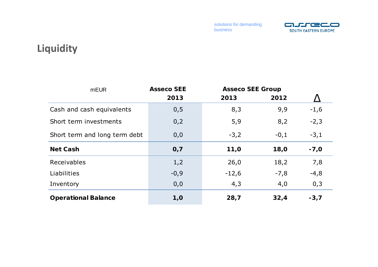

### **Liquidity**

| <b>mEUR</b>                   | <b>Asseco SEE</b> | <b>Asseco SEE Group</b> |        |        |
|-------------------------------|-------------------|-------------------------|--------|--------|
|                               | 2013              | 2013                    | 2012   |        |
| Cash and cash equivalents     | 0, 5              | 8,3                     | 9,9    | $-1,6$ |
| Short term investments        | 0,2               | 5,9                     | 8,2    | $-2,3$ |
| Short term and long term debt | 0,0               | $-3,2$                  | $-0,1$ | $-3,1$ |
| <b>Net Cash</b>               | O, 7              | 11,0                    | 18,0   | $-7,0$ |
| Receivables                   | 1,2               | 26,0                    | 18,2   | 7,8    |
| Liabilities                   | $-0,9$            | $-12,6$                 | $-7,8$ | $-4,8$ |
| Inventory                     | 0,0               | 4,3                     | 4,0    | 0,3    |
| <b>Operational Balance</b>    | 1,0               | 28,7                    | 32,4   | $-3,7$ |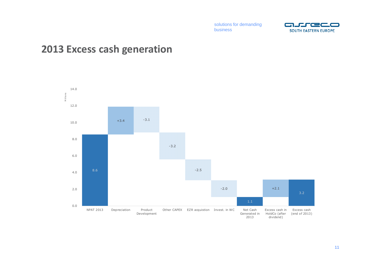

#### **2013 Excess cash generation**

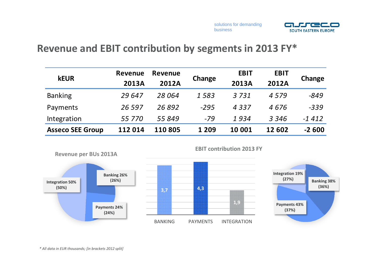



#### **Revenue and EBIT contribution by segments in 2013 FY\***

| <b>kEUR</b>             | Revenue      | Revenue |         | <b>EBIT</b>  | <b>EBIT</b>  |         |  |
|-------------------------|--------------|---------|---------|--------------|--------------|---------|--|
|                         | <b>2013A</b> | 2012A   | Change  | <b>2013A</b> | <b>2012A</b> | Change  |  |
| <b>Banking</b>          | 29 647       | 28 064  | 1583    | 3731         | 4579         | $-849$  |  |
| Payments                | 26 5 9 7     | 26892   | $-295$  | 4337         | 4676         | $-339$  |  |
| Integration             | 55 770       | 55 849  | $-79$   | 1934         | 3 3 4 6      | $-1412$ |  |
| <b>Asseco SEE Group</b> | 112 014      | 110 805 | 1 2 0 9 | 10 001       | 12 602       | $-2600$ |  |



**EBIT contribution 2013 FY**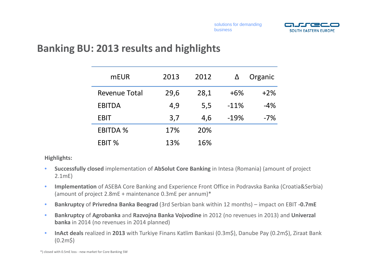

#### **Banking BU: 2013 results and highlights**

| <b>mEUR</b>          | 2013 | 2012 |        | Organic |
|----------------------|------|------|--------|---------|
| <b>Revenue Total</b> | 29,6 | 28,1 | $+6%$  | $+2%$   |
| <b>EBITDA</b>        | 4,9  | 5,5  | $-11%$ | $-4%$   |
| <b>EBIT</b>          | 3,7  | 4,6  | $-19%$ | $-7%$   |
| <b>EBITDA %</b>      | 17%  | 20%  |        |         |
| EBIT %               | 13%  | 16%  |        |         |

**Highlights:**

- • **Successfully closed** implementation of **AbSolut Core Banking** in Intesa (Romania) (amount of project 2.1mE)
- • **Implementation** of ASEBA Core Banking and Experience Front Office in Podravska Banka (Croatia&Serbia) (amount of project 2.8mE <sup>+</sup> maintenance 0.3mE per annum)\*
- $\bullet$ **Bankruptcy** of **Privredna Banka Beograd** (3rd Serbian bank within 12 months) – impact on EBIT **‐0.7mE**
- • **Bankruptcy** of **Agrobanka** and **Razvojna Banka Vojvodine** in 2012 (no revenues in 2013) and **Univerzal banka** in 2014 (no revenues in 2014 planned)
- $\bullet$ **InAct deals** realized in 2013 with Turkiye Finans Katlim Bankasi (0.3m\$), Danube Pay (0.2m\$), Ziraat Bank (0.2m\$)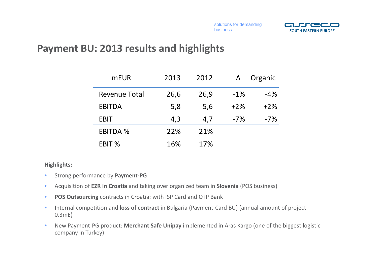

#### **Payment BU: 2013 results and highlights**

| <b>mEUR</b>          | 2013 | 2012 |       | Organic |
|----------------------|------|------|-------|---------|
| <b>Revenue Total</b> | 26,6 | 26,9 | $-1%$ | $-4%$   |
| <b>EBITDA</b>        | 5,8  | 5,6  | $+2%$ | $+2%$   |
| <b>EBIT</b>          | 4,3  | 4,7  | $-7%$ | $-7%$   |
| <b>EBITDA %</b>      | 22%  | 21%  |       |         |
| EBIT %               | 16%  | 17%  |       |         |

#### **Highlights:**

- $\bullet$ Strong performance by **Payment‐PG**
- •Acquisition of **EZR in Croatia** and taking over organized team in **Slovenia** (POS business)
- $\bullet$ **POS Outsourcing** contracts in Croatia: with ISP Card and OTP Bank
- $\bullet$  Internal competition and **loss of contract** in Bulgaria (Payment‐Card BU) (annual amount of project 0.3mE)
- $\bullet$ ● New Payment-PG product: Merchant Safe Unipay implemented in Aras Kargo (one of the biggest logistic company in Turkey)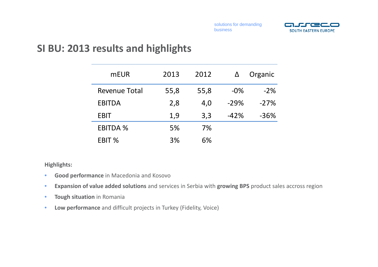

#### **SI BU: 2013 results and highlights**

| <b>mEUR</b>          | 2013 | 2012 | Δ      | Organic |
|----------------------|------|------|--------|---------|
| <b>Revenue Total</b> | 55,8 | 55,8 | $-0\%$ | $-2%$   |
| <b>EBITDA</b>        | 2,8  | 4,0  | $-29%$ | $-27%$  |
| <b>EBIT</b>          | 1,9  | 3,3  | $-42%$ | $-36%$  |
| <b>EBITDA %</b>      | 5%   | 7%   |        |         |
| EBIT %               | 3%   | 6%   |        |         |

#### **Highlights:**

- $\bullet$ **Good performance** in Macedonia and Kosovo
- $\bullet$ **Expansion of value added solutions** and services in Serbia with **growing BPS** product sales accross region
- •**Tough situation** in Romania
- $\bullet$ **Low performance** and difficult projects in Turkey (Fidelity, Voice)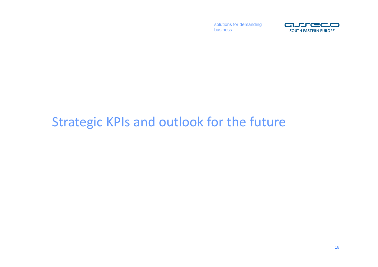

## Strategic KPIs and outlook for the future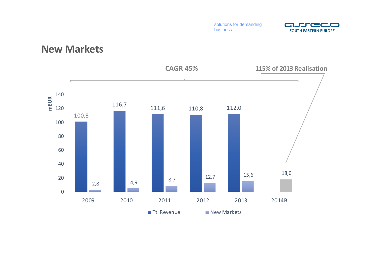

#### **New Markets**

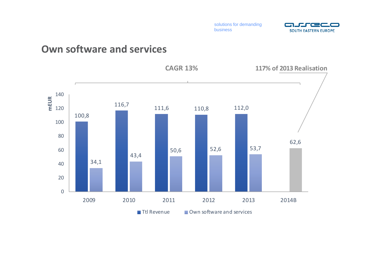

#### **Own software and services**

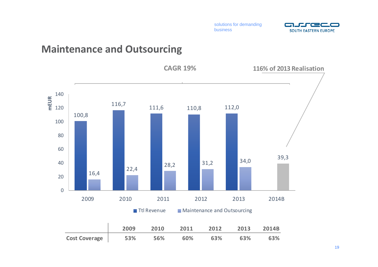

#### **Maintenance and Outsourcing**

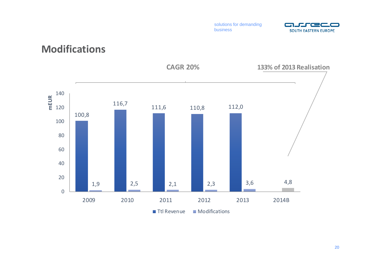

#### **Modifications**

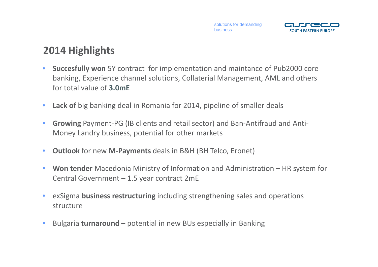

### **2014 Highlights**

- • **Succesfully won** 5Y contract for implementation and maintance of Pub2000 core banking, Experience channel solutions, Collaterial Management, AML and others for total value of **3.0mE**
- $\bullet$ **Lack of** big banking deal in Romania for 2014, pipeline of smaller deals
- • **Growing** Payment‐PG (IB clients and retail sector) and Ban‐Antifraud and Anti‐ Money Landry business, potential for other markets
- •**Outlook** for new **M‐Payments** deals in B&H (BH Telco, Eronet)
- $\bullet$  **Won tender** Macedonia Ministry of Information and Administration – HR system for Central Government – 1.5 year contract 2mE
- $\bullet$  exSigma **business restructuring** including strengthening sales and operations structure
- $\bullet$ Bulgaria **turnaround** – potential in new BUs especially in Banking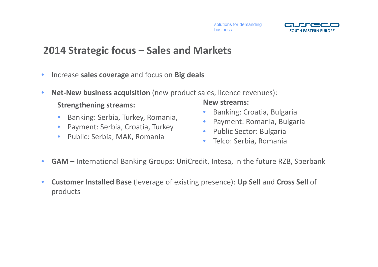

#### **2014 Strategic focus – Sales and Markets**

- $\bullet$ Increase **sales coverage** and focus on **Big deals**
- $\bullet$  **Net‐New business acquisition** (new product sales, licence revenues): **Strengthening streams: New streams:**
	- $\bullet$ Banking: Serbia, Turkey, Romania,
	- •Payment: Serbia, Croatia, Turkey
	- Public: Serbia, MAK, Romania

- •Banking: Croatia, Bulgaria
- •Payment: Romania, Bulgaria
- $\bullet$ **•** Public Sector: Bulgaria
- $\bullet$ Telco: Serbia, Romania
- $\bullet$ **GAM** – International Banking Groups: UniCredit, Intesa, in the future RZB, Sberbank
- $\bullet$  **Customer Installed Base** (leverage of existing presence): **Up Sell** and **Cross Sell** of products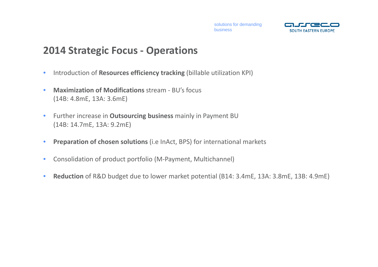

#### **2014 Strategic Focus ‐ Operations**

- •Introduction of **Resources efficiency tracking** (billable utilization KPI)
- • **Maximization of Modifications** stream ‐ BU's focus (14B: 4.8mE, 13A: 3.6mE)
- • Further increase in **Outsourcing business** mainly in Payment BU (14B: 14.7mE, 13A: 9.2mE)
- $\bullet$ **Preparation of chosen solutions** (i.e InAct, BPS) for international markets
- •● Consolidation of product portfolio (M-Payment, Multichannel)
- •**Reduction** of R&D budget due to lower market potential (B14: 3.4mE, 13A: 3.8mE, 13B: 4.9mE)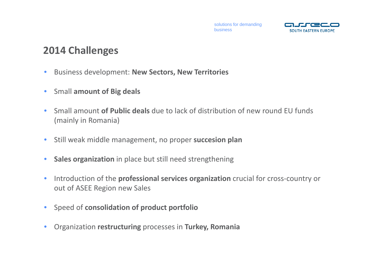

### **2014 Challenges**

- $\bullet$ Business development: **New Sectors, New Territories**
- $\bullet$ Small **amount of Big deals**
- $\bullet$  Small amount **of Public deals** due to lack of distribution of new round EU funds (mainly in Romania)
- $\bullet$ Still weak middle management, no proper **succesion plan**
- $\bullet$ **Sales organization** in place but still need strengthening
- $\bullet$ ■ Introduction of the **professional services organization** crucial for cross-country or out of ASEE Region new Sales
- $\bullet$ Speed of **consolidation of product portfolio**
- $\bullet$ Organization **restructuring** processes in **Turkey, Romania**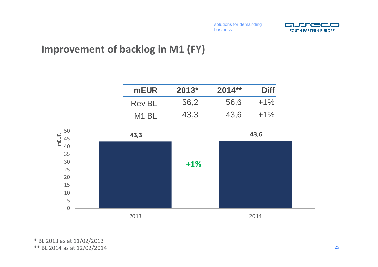

#### **Improvement of backlog in M1 (FY)**

|                        | <b>mEUR</b>   | $2013*$ | 2014** | <b>Diff</b> |
|------------------------|---------------|---------|--------|-------------|
|                        | <b>Rev BL</b> | 56,2    | 56,6   | $+1%$       |
|                        | M1 BL         | 43,3    | 43,6   | $+1%$       |
| 50<br>mEUR<br>45<br>40 | 43,3          |         |        | 43,6        |
| 35<br>30               |               | $+1%$   |        |             |
| 25                     |               |         |        |             |
| 20                     |               |         |        |             |
| 15                     |               |         |        |             |
| 10                     |               |         |        |             |
| 5                      |               |         |        |             |
| $\mathbf 0$            |               |         |        |             |
|                        | 2013          |         |        | 2014        |

\* BL 2013 as at 11/02/2013 \*\* BL 2014 as at 12/02/2014